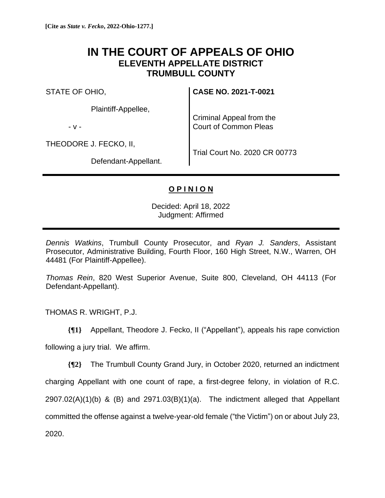## **IN THE COURT OF APPEALS OF OHIO ELEVENTH APPELLATE DISTRICT TRUMBULL COUNTY**

STATE OF OHIO,

Plaintiff-Appellee,

- v -

THEODORE J. FECKO, II,

**CASE NO. 2021-T-0021**

Criminal Appeal from the Court of Common Pleas

Defendant-Appellant.

Trial Court No. 2020 CR 00773

## **O P I N I O N**

Decided: April 18, 2022 Judgment: Affirmed

*Dennis Watkins*, Trumbull County Prosecutor, and *Ryan J. Sanders*, Assistant Prosecutor, Administrative Building, Fourth Floor, 160 High Street, N.W., Warren, OH 44481 (For Plaintiff-Appellee).

*Thomas Rein*, 820 West Superior Avenue, Suite 800, Cleveland, OH 44113 (For Defendant-Appellant).

THOMAS R. WRIGHT, P.J.

**{¶1}** Appellant, Theodore J. Fecko, II ("Appellant"), appeals his rape conviction

following a jury trial. We affirm.

**{¶2}** The Trumbull County Grand Jury, in October 2020, returned an indictment charging Appellant with one count of rape, a first-degree felony, in violation of R.C.  $2907.02(A)(1)(b)$  & (B) and  $2971.03(B)(1)(a)$ . The indictment alleged that Appellant committed the offense against a twelve-year-old female ("the Victim") on or about July 23, 2020.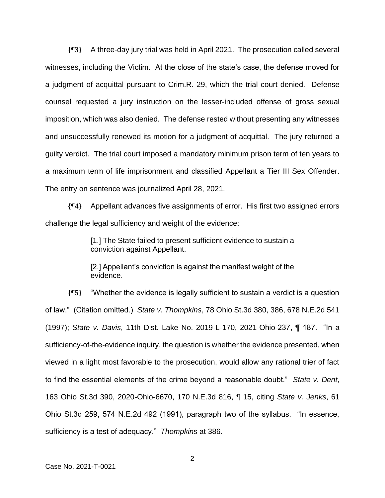**{¶3}** A three-day jury trial was held in April 2021. The prosecution called several witnesses, including the Victim. At the close of the state's case, the defense moved for a judgment of acquittal pursuant to Crim.R. 29, which the trial court denied. Defense counsel requested a jury instruction on the lesser-included offense of gross sexual imposition, which was also denied. The defense rested without presenting any witnesses and unsuccessfully renewed its motion for a judgment of acquittal. The jury returned a guilty verdict. The trial court imposed a mandatory minimum prison term of ten years to a maximum term of life imprisonment and classified Appellant a Tier III Sex Offender. The entry on sentence was journalized April 28, 2021.

**{¶4}** Appellant advances five assignments of error. His first two assigned errors challenge the legal sufficiency and weight of the evidence:

> [1.] The State failed to present sufficient evidence to sustain a conviction against Appellant.

> [2.] Appellant's conviction is against the manifest weight of the evidence.

**{¶5}** "Whether the evidence is legally sufficient to sustain a verdict is a question of law." (Citation omitted.) *State v. Thompkins*, 78 Ohio St.3d 380, 386, 678 N.E.2d 541 (1997); *State v. Davis*, 11th Dist. Lake No. 2019-L-170, 2021-Ohio-237, ¶ 187. "In a sufficiency-of-the-evidence inquiry, the question is whether the evidence presented, when viewed in a light most favorable to the prosecution, would allow any rational trier of fact to find the essential elements of the crime beyond a reasonable doubt." *State v. Dent*, 163 Ohio St.3d 390, 2020-Ohio-6670, 170 N.E.3d 816, ¶ 15, citing *State v. Jenks*, 61 Ohio St.3d 259, 574 N.E.2d 492 (1991), paragraph two of the syllabus. "In essence, sufficiency is a test of adequacy." *Thompkins* at 386.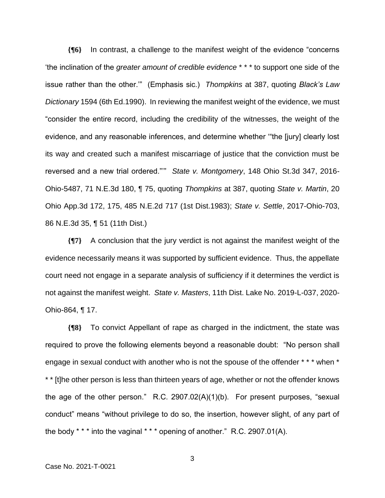**{¶6}** In contrast, a challenge to the manifest weight of the evidence "concerns 'the inclination of the *greater amount of credible evidence* \* \* \* to support one side of the issue rather than the other.'" (Emphasis sic.) *Thompkins* at 387, quoting *Black's Law Dictionary* 1594 (6th Ed.1990). In reviewing the manifest weight of the evidence, we must "consider the entire record, including the credibility of the witnesses, the weight of the evidence, and any reasonable inferences, and determine whether '"the [jury] clearly lost its way and created such a manifest miscarriage of justice that the conviction must be reversed and a new trial ordered."'" *State v. Montgomery*, 148 Ohio St.3d 347, 2016- Ohio-5487, 71 N.E.3d 180, ¶ 75, quoting *Thompkins* at 387, quoting *State v. Martin*, 20 Ohio App.3d 172, 175, 485 N.E.2d 717 (1st Dist.1983); *State v. Settle*, 2017-Ohio-703, 86 N.E.3d 35, ¶ 51 (11th Dist.)

**{¶7}** A conclusion that the jury verdict is not against the manifest weight of the evidence necessarily means it was supported by sufficient evidence. Thus, the appellate court need not engage in a separate analysis of sufficiency if it determines the verdict is not against the manifest weight. *State v. Masters*, 11th Dist. Lake No. 2019-L-037, 2020- Ohio-864, ¶ 17.

**{¶8}** To convict Appellant of rape as charged in the indictment, the state was required to prove the following elements beyond a reasonable doubt: "No person shall engage in sexual conduct with another who is not the spouse of the offender \* \* \* when \* \* \* [t]he other person is less than thirteen years of age, whether or not the offender knows the age of the other person." R.C. 2907.02(A)(1)(b). For present purposes, "sexual conduct" means "without privilege to do so, the insertion, however slight, of any part of the body \* \* \* into the vaginal \* \* \* opening of another." R.C. 2907.01(A).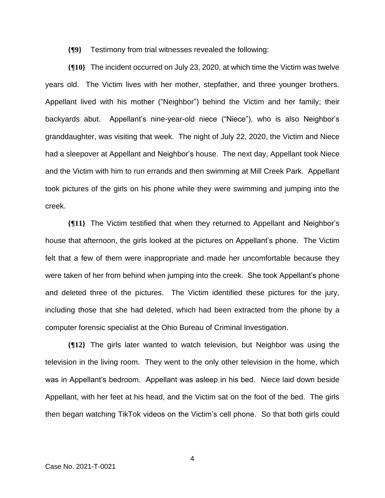**{¶9}** Testimony from trial witnesses revealed the following:

**{¶10}** The incident occurred on July 23, 2020, at which time the Victim was twelve years old. The Victim lives with her mother, stepfather, and three younger brothers. Appellant lived with his mother ("Neighbor") behind the Victim and her family; their backyards abut. Appellant's nine-year-old niece ("Niece"), who is also Neighbor's granddaughter, was visiting that week. The night of July 22, 2020, the Victim and Niece had a sleepover at Appellant and Neighbor's house. The next day, Appellant took Niece and the Victim with him to run errands and then swimming at Mill Creek Park. Appellant took pictures of the girls on his phone while they were swimming and jumping into the creek.

**{¶11}** The Victim testified that when they returned to Appellant and Neighbor's house that afternoon, the girls looked at the pictures on Appellant's phone. The Victim felt that a few of them were inappropriate and made her uncomfortable because they were taken of her from behind when jumping into the creek. She took Appellant's phone and deleted three of the pictures. The Victim identified these pictures for the jury, including those that she had deleted, which had been extracted from the phone by a computer forensic specialist at the Ohio Bureau of Criminal Investigation.

**{¶12}** The girls later wanted to watch television, but Neighbor was using the television in the living room. They went to the only other television in the home, which was in Appellant's bedroom. Appellant was asleep in his bed. Niece laid down beside Appellant, with her feet at his head, and the Victim sat on the foot of the bed. The girls then began watching TikTok videos on the Victim's cell phone. So that both girls could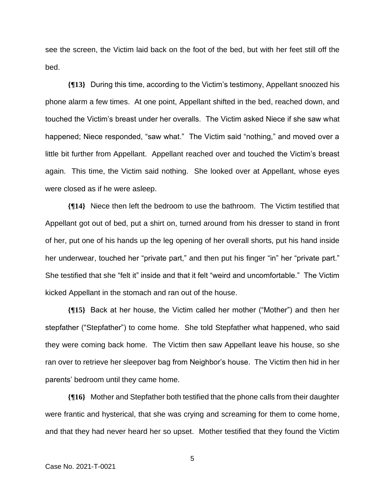see the screen, the Victim laid back on the foot of the bed, but with her feet still off the bed.

**{¶13}** During this time, according to the Victim's testimony, Appellant snoozed his phone alarm a few times. At one point, Appellant shifted in the bed, reached down, and touched the Victim's breast under her overalls. The Victim asked Niece if she saw what happened; Niece responded, "saw what." The Victim said "nothing," and moved over a little bit further from Appellant. Appellant reached over and touched the Victim's breast again. This time, the Victim said nothing. She looked over at Appellant, whose eyes were closed as if he were asleep.

**{¶14}** Niece then left the bedroom to use the bathroom. The Victim testified that Appellant got out of bed, put a shirt on, turned around from his dresser to stand in front of her, put one of his hands up the leg opening of her overall shorts, put his hand inside her underwear, touched her "private part," and then put his finger "in" her "private part." She testified that she "felt it" inside and that it felt "weird and uncomfortable." The Victim kicked Appellant in the stomach and ran out of the house.

**{¶15}** Back at her house, the Victim called her mother ("Mother") and then her stepfather ("Stepfather") to come home. She told Stepfather what happened, who said they were coming back home. The Victim then saw Appellant leave his house, so she ran over to retrieve her sleepover bag from Neighbor's house. The Victim then hid in her parents' bedroom until they came home.

**{¶16}** Mother and Stepfather both testified that the phone calls from their daughter were frantic and hysterical, that she was crying and screaming for them to come home, and that they had never heard her so upset. Mother testified that they found the Victim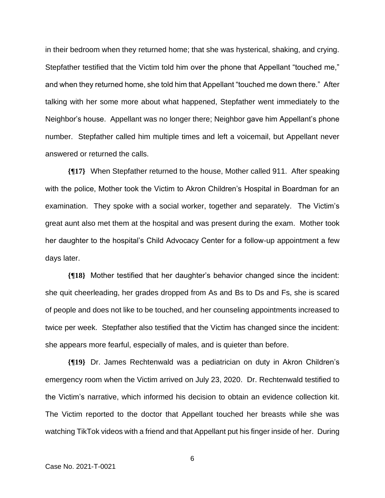in their bedroom when they returned home; that she was hysterical, shaking, and crying. Stepfather testified that the Victim told him over the phone that Appellant "touched me," and when they returned home, she told him that Appellant "touched me down there." After talking with her some more about what happened, Stepfather went immediately to the Neighbor's house. Appellant was no longer there; Neighbor gave him Appellant's phone number. Stepfather called him multiple times and left a voicemail, but Appellant never answered or returned the calls.

**{¶17}** When Stepfather returned to the house, Mother called 911. After speaking with the police, Mother took the Victim to Akron Children's Hospital in Boardman for an examination. They spoke with a social worker, together and separately. The Victim's great aunt also met them at the hospital and was present during the exam. Mother took her daughter to the hospital's Child Advocacy Center for a follow-up appointment a few days later.

**{¶18}** Mother testified that her daughter's behavior changed since the incident: she quit cheerleading, her grades dropped from As and Bs to Ds and Fs, she is scared of people and does not like to be touched, and her counseling appointments increased to twice per week. Stepfather also testified that the Victim has changed since the incident: she appears more fearful, especially of males, and is quieter than before.

**{¶19}** Dr. James Rechtenwald was a pediatrician on duty in Akron Children's emergency room when the Victim arrived on July 23, 2020. Dr. Rechtenwald testified to the Victim's narrative, which informed his decision to obtain an evidence collection kit. The Victim reported to the doctor that Appellant touched her breasts while she was watching TikTok videos with a friend and that Appellant put his finger inside of her. During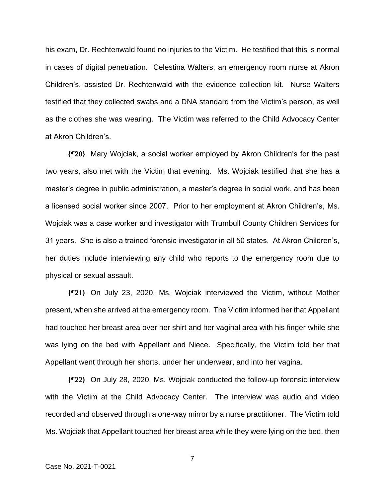his exam, Dr. Rechtenwald found no injuries to the Victim. He testified that this is normal in cases of digital penetration. Celestina Walters, an emergency room nurse at Akron Children's, assisted Dr. Rechtenwald with the evidence collection kit. Nurse Walters testified that they collected swabs and a DNA standard from the Victim's person, as well as the clothes she was wearing. The Victim was referred to the Child Advocacy Center at Akron Children's.

**{¶20}** Mary Wojciak, a social worker employed by Akron Children's for the past two years, also met with the Victim that evening. Ms. Wojciak testified that she has a master's degree in public administration, a master's degree in social work, and has been a licensed social worker since 2007. Prior to her employment at Akron Children's, Ms. Wojciak was a case worker and investigator with Trumbull County Children Services for 31 years. She is also a trained forensic investigator in all 50 states. At Akron Children's, her duties include interviewing any child who reports to the emergency room due to physical or sexual assault.

**{¶21}** On July 23, 2020, Ms. Wojciak interviewed the Victim, without Mother present, when she arrived at the emergency room. The Victim informed her that Appellant had touched her breast area over her shirt and her vaginal area with his finger while she was lying on the bed with Appellant and Niece. Specifically, the Victim told her that Appellant went through her shorts, under her underwear, and into her vagina.

**{¶22}** On July 28, 2020, Ms. Wojciak conducted the follow-up forensic interview with the Victim at the Child Advocacy Center. The interview was audio and video recorded and observed through a one-way mirror by a nurse practitioner. The Victim told Ms. Wojciak that Appellant touched her breast area while they were lying on the bed, then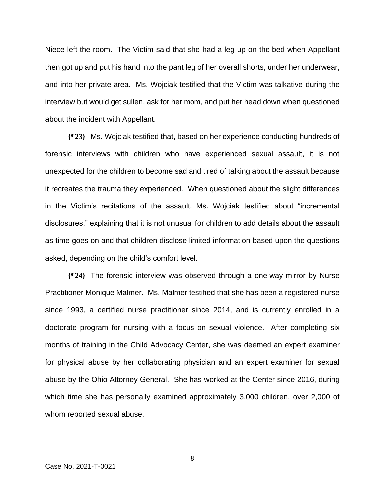Niece left the room. The Victim said that she had a leg up on the bed when Appellant then got up and put his hand into the pant leg of her overall shorts, under her underwear, and into her private area. Ms. Wojciak testified that the Victim was talkative during the interview but would get sullen, ask for her mom, and put her head down when questioned about the incident with Appellant.

**{¶23}** Ms. Wojciak testified that, based on her experience conducting hundreds of forensic interviews with children who have experienced sexual assault, it is not unexpected for the children to become sad and tired of talking about the assault because it recreates the trauma they experienced. When questioned about the slight differences in the Victim's recitations of the assault, Ms. Wojciak testified about "incremental disclosures," explaining that it is not unusual for children to add details about the assault as time goes on and that children disclose limited information based upon the questions asked, depending on the child's comfort level.

**{¶24}** The forensic interview was observed through a one-way mirror by Nurse Practitioner Monique Malmer. Ms. Malmer testified that she has been a registered nurse since 1993, a certified nurse practitioner since 2014, and is currently enrolled in a doctorate program for nursing with a focus on sexual violence. After completing six months of training in the Child Advocacy Center, she was deemed an expert examiner for physical abuse by her collaborating physician and an expert examiner for sexual abuse by the Ohio Attorney General. She has worked at the Center since 2016, during which time she has personally examined approximately 3,000 children, over 2,000 of whom reported sexual abuse.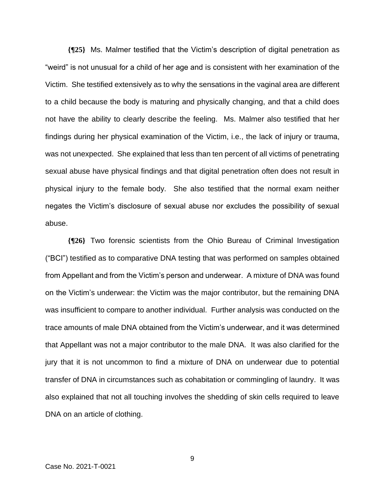**{¶25}** Ms. Malmer testified that the Victim's description of digital penetration as "weird" is not unusual for a child of her age and is consistent with her examination of the Victim. She testified extensively as to why the sensations in the vaginal area are different to a child because the body is maturing and physically changing, and that a child does not have the ability to clearly describe the feeling. Ms. Malmer also testified that her findings during her physical examination of the Victim, i.e., the lack of injury or trauma, was not unexpected. She explained that less than ten percent of all victims of penetrating sexual abuse have physical findings and that digital penetration often does not result in physical injury to the female body. She also testified that the normal exam neither negates the Victim's disclosure of sexual abuse nor excludes the possibility of sexual abuse.

**{¶26}** Two forensic scientists from the Ohio Bureau of Criminal Investigation ("BCI") testified as to comparative DNA testing that was performed on samples obtained from Appellant and from the Victim's person and underwear. A mixture of DNA was found on the Victim's underwear: the Victim was the major contributor, but the remaining DNA was insufficient to compare to another individual. Further analysis was conducted on the trace amounts of male DNA obtained from the Victim's underwear, and it was determined that Appellant was not a major contributor to the male DNA. It was also clarified for the jury that it is not uncommon to find a mixture of DNA on underwear due to potential transfer of DNA in circumstances such as cohabitation or commingling of laundry. It was also explained that not all touching involves the shedding of skin cells required to leave DNA on an article of clothing.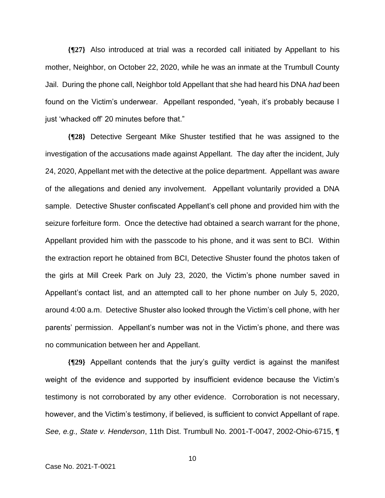**{¶27}** Also introduced at trial was a recorded call initiated by Appellant to his mother, Neighbor, on October 22, 2020, while he was an inmate at the Trumbull County Jail. During the phone call, Neighbor told Appellant that she had heard his DNA *had* been found on the Victim's underwear. Appellant responded, "yeah, it's probably because I just 'whacked off' 20 minutes before that."

**{¶28}** Detective Sergeant Mike Shuster testified that he was assigned to the investigation of the accusations made against Appellant. The day after the incident, July 24, 2020, Appellant met with the detective at the police department. Appellant was aware of the allegations and denied any involvement. Appellant voluntarily provided a DNA sample. Detective Shuster confiscated Appellant's cell phone and provided him with the seizure forfeiture form. Once the detective had obtained a search warrant for the phone, Appellant provided him with the passcode to his phone, and it was sent to BCI. Within the extraction report he obtained from BCI, Detective Shuster found the photos taken of the girls at Mill Creek Park on July 23, 2020, the Victim's phone number saved in Appellant's contact list, and an attempted call to her phone number on July 5, 2020, around 4:00 a.m. Detective Shuster also looked through the Victim's cell phone, with her parents' permission. Appellant's number was not in the Victim's phone, and there was no communication between her and Appellant.

**{¶29}** Appellant contends that the jury's guilty verdict is against the manifest weight of the evidence and supported by insufficient evidence because the Victim's testimony is not corroborated by any other evidence. Corroboration is not necessary, however, and the Victim's testimony, if believed, is sufficient to convict Appellant of rape. *See, e.g., State v. Henderson*, 11th Dist. Trumbull No. 2001-T-0047, 2002-Ohio-6715, ¶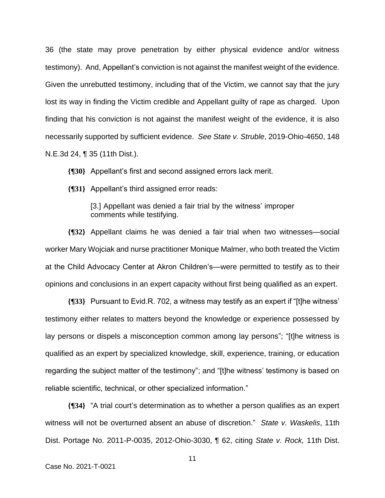36 (the state may prove penetration by either physical evidence and/or witness testimony). And, Appellant's conviction is not against the manifest weight of the evidence. Given the unrebutted testimony, including that of the Victim, we cannot say that the jury lost its way in finding the Victim credible and Appellant guilty of rape as charged. Upon finding that his conviction is not against the manifest weight of the evidence, it is also necessarily supported by sufficient evidence. *See State v. Struble*, 2019-Ohio-4650, 148 N.E.3d 24, ¶ 35 (11th Dist.).

**{¶30}** Appellant's first and second assigned errors lack merit.

**{¶31}** Appellant's third assigned error reads:

[3.] Appellant was denied a fair trial by the witness' improper comments while testifying.

**{¶32}** Appellant claims he was denied a fair trial when two witnesses—social worker Mary Wojciak and nurse practitioner Monique Malmer, who both treated the Victim at the Child Advocacy Center at Akron Children's—were permitted to testify as to their opinions and conclusions in an expert capacity without first being qualified as an expert.

**{¶33}** Pursuant to Evid.R. 702, a witness may testify as an expert if "[t]he witness' testimony either relates to matters beyond the knowledge or experience possessed by lay persons or dispels a misconception common among lay persons"; "[t]he witness is qualified as an expert by specialized knowledge, skill, experience, training, or education regarding the subject matter of the testimony"; and "[t]he witness' testimony is based on reliable scientific, technical, or other specialized information."

**{¶34}** "A trial court's determination as to whether a person qualifies as an expert witness will not be overturned absent an abuse of discretion." *State v. Waskelis*, 11th Dist. Portage No. 2011-P-0035, 2012-Ohio-3030, ¶ 62, citing *State v. Rock,* 11th Dist.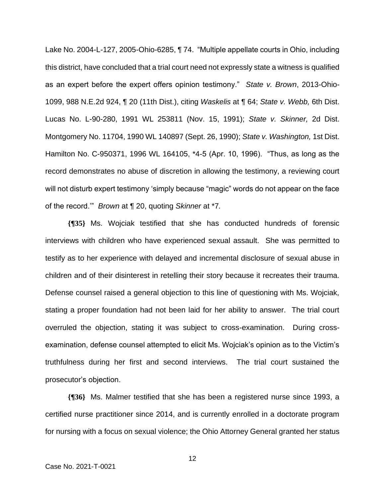Lake No. 2004-L-127, 2005-Ohio-6285, ¶ 74. "Multiple appellate courts in Ohio, including this district, have concluded that a trial court need not expressly state a witness is qualified as an expert before the expert offers opinion testimony." *State v. Brown*, 2013-Ohio-1099, 988 N.E.2d 924, ¶ 20 (11th Dist.), citing *Waskelis* at ¶ 64; *State v. Webb,* 6th Dist. Lucas No. L-90-280, 1991 WL 253811 (Nov. 15, 1991); *State v. Skinner,* 2d Dist. Montgomery No. 11704, 1990 WL 140897 (Sept. 26, 1990); *State v. Washington,* 1st Dist. Hamilton No. C-950371, 1996 WL 164105, \*4-5 (Apr. 10, 1996). "Thus, as long as the record demonstrates no abuse of discretion in allowing the testimony, a reviewing court will not disturb expert testimony 'simply because "magic" words do not appear on the face of the record.'" *Brown* at ¶ 20, quoting *Skinner* at \*7*.* 

**{¶35}** Ms. Wojciak testified that she has conducted hundreds of forensic interviews with children who have experienced sexual assault. She was permitted to testify as to her experience with delayed and incremental disclosure of sexual abuse in children and of their disinterest in retelling their story because it recreates their trauma. Defense counsel raised a general objection to this line of questioning with Ms. Wojciak, stating a proper foundation had not been laid for her ability to answer. The trial court overruled the objection, stating it was subject to cross-examination. During crossexamination, defense counsel attempted to elicit Ms. Wojciak's opinion as to the Victim's truthfulness during her first and second interviews. The trial court sustained the prosecutor's objection.

**{¶36}** Ms. Malmer testified that she has been a registered nurse since 1993, a certified nurse practitioner since 2014, and is currently enrolled in a doctorate program for nursing with a focus on sexual violence; the Ohio Attorney General granted her status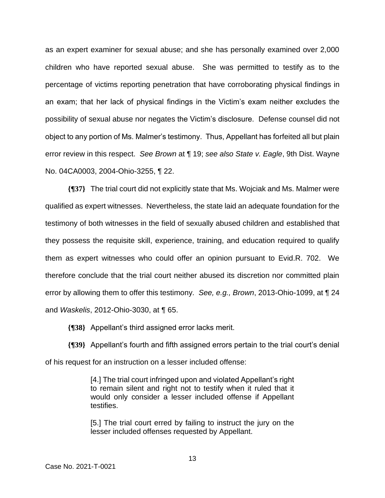as an expert examiner for sexual abuse; and she has personally examined over 2,000 children who have reported sexual abuse. She was permitted to testify as to the percentage of victims reporting penetration that have corroborating physical findings in an exam; that her lack of physical findings in the Victim's exam neither excludes the possibility of sexual abuse nor negates the Victim's disclosure. Defense counsel did not object to any portion of Ms. Malmer's testimony. Thus, Appellant has forfeited all but plain error review in this respect. *See Brown* at ¶ 19; *see also State v. Eagle*, 9th Dist. Wayne No. 04CA0003, 2004-Ohio-3255, ¶ 22.

**{¶37}** The trial court did not explicitly state that Ms. Wojciak and Ms. Malmer were qualified as expert witnesses. Nevertheless, the state laid an adequate foundation for the testimony of both witnesses in the field of sexually abused children and established that they possess the requisite skill, experience, training, and education required to qualify them as expert witnesses who could offer an opinion pursuant to Evid.R. 702. We therefore conclude that the trial court neither abused its discretion nor committed plain error by allowing them to offer this testimony*. See, e.g., Brown*, 2013-Ohio-1099, at ¶ 24 and *Waskelis*, 2012-Ohio-3030, at ¶ 65.

**{¶38}** Appellant's third assigned error lacks merit.

**{¶39}** Appellant's fourth and fifth assigned errors pertain to the trial court's denial of his request for an instruction on a lesser included offense:

> [4.] The trial court infringed upon and violated Appellant's right to remain silent and right not to testify when it ruled that it would only consider a lesser included offense if Appellant testifies.

> [5.] The trial court erred by failing to instruct the jury on the lesser included offenses requested by Appellant.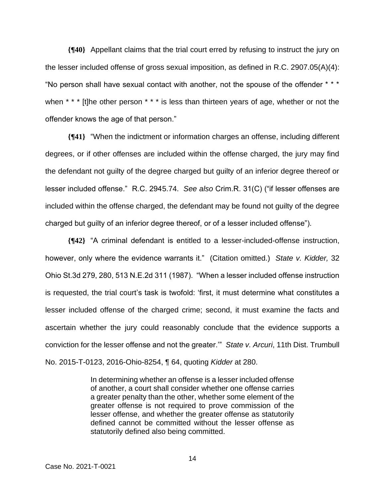**{¶40}** Appellant claims that the trial court erred by refusing to instruct the jury on the lesser included offense of gross sexual imposition, as defined in R.C. 2907.05(A)(4): "No person shall have sexual contact with another, not the spouse of the offender \* \* \* when \* \* \* [t]he other person \* \* \* is less than thirteen years of age, whether or not the offender knows the age of that person."

**{¶41}** "When the indictment or information charges an offense, including different degrees, or if other offenses are included within the offense charged, the jury may find the defendant not guilty of the degree charged but guilty of an inferior degree thereof or lesser included offense." R.C. 2945.74. *See also* Crim.R. 31(C) ("if lesser offenses are included within the offense charged, the defendant may be found not guilty of the degree charged but guilty of an inferior degree thereof, or of a lesser included offense").

**{¶42}** "A criminal defendant is entitled to a lesser-included-offense instruction, however, only where the evidence warrants it." (Citation omitted.) *State v. Kidder,* 32 Ohio St.3d 279, 280, 513 N.E.2d 311 (1987). "When a lesser included offense instruction is requested, the trial court's task is twofold: 'first, it must determine what constitutes a lesser included offense of the charged crime; second, it must examine the facts and ascertain whether the jury could reasonably conclude that the evidence supports a conviction for the lesser offense and not the greater.'" *State v. Arcuri*, 11th Dist. Trumbull No. 2015-T-0123, 2016-Ohio-8254, ¶ 64, quoting *Kidder* at 280.

> In determining whether an offense is a lesser included offense of another, a court shall consider whether one offense carries a greater penalty than the other, whether some element of the greater offense is not required to prove commission of the lesser offense, and whether the greater offense as statutorily defined cannot be committed without the lesser offense as statutorily defined also being committed.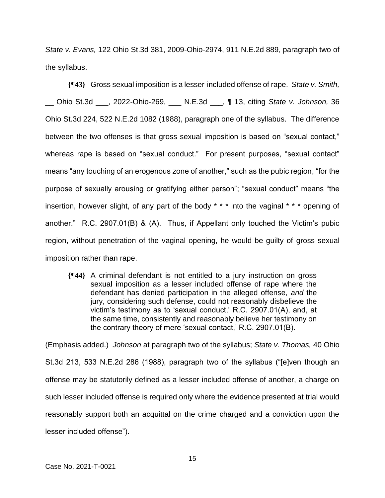*State v. Evans,* 122 Ohio St.3d 381, 2009-Ohio-2974, 911 N.E.2d 889, paragraph two of the syllabus.

**{¶43}** Gross sexual imposition is a lesser-included offense of rape. *State v. Smith,*  \_\_ Ohio St.3d \_\_\_, 2022-Ohio-269, \_\_\_ N.E.3d \_\_\_, ¶ 13, citing *State v. Johnson,* 36 Ohio St.3d 224, 522 N.E.2d 1082 (1988), paragraph one of the syllabus. The difference between the two offenses is that gross sexual imposition is based on "sexual contact," whereas rape is based on "sexual conduct." For present purposes, "sexual contact" means "any touching of an erogenous zone of another," such as the pubic region, "for the purpose of sexually arousing or gratifying either person"; "sexual conduct" means "the insertion, however slight, of any part of the body \* \* \* into the vaginal \* \* \* opening of another." R.C. 2907.01(B) & (A). Thus, if Appellant only touched the Victim's pubic region, without penetration of the vaginal opening, he would be guilty of gross sexual imposition rather than rape.

**{¶44}** A criminal defendant is not entitled to a jury instruction on gross sexual imposition as a lesser included offense of rape where the defendant has denied participation in the alleged offense, *and* the jury, considering such defense, could not reasonably disbelieve the victim's testimony as to 'sexual conduct,' R.C. 2907.01(A), and, at the same time, consistently and reasonably believe her testimony on the contrary theory of mere 'sexual contact,' R.C. 2907.01(B).

(Emphasis added.) *Johnson* at paragraph two of the syllabus; *State v. Thomas,* 40 Ohio St.3d 213, 533 N.E.2d 286 (1988), paragraph two of the syllabus ("[e]ven though an offense may be statutorily defined as a lesser included offense of another, a charge on such lesser included offense is required only where the evidence presented at trial would reasonably support both an acquittal on the crime charged and a conviction upon the lesser included offense").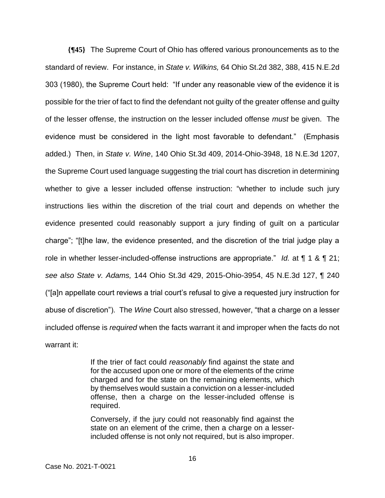**{¶45}** The Supreme Court of Ohio has offered various pronouncements as to the standard of review. For instance, in *State v. Wilkins,* 64 Ohio St.2d 382, 388, 415 N.E.2d 303 (1980), the Supreme Court held: "If under any reasonable view of the evidence it is possible for the trier of fact to find the defendant not guilty of the greater offense and guilty of the lesser offense, the instruction on the lesser included offense *must* be given. The evidence must be considered in the light most favorable to defendant." (Emphasis added.) Then, in *State v. Wine*, 140 Ohio St.3d 409, 2014-Ohio-3948, 18 N.E.3d 1207, the Supreme Court used language suggesting the trial court has discretion in determining whether to give a lesser included offense instruction: "whether to include such jury instructions lies within the discretion of the trial court and depends on whether the evidence presented could reasonably support a jury finding of guilt on a particular charge"; "[t]he law, the evidence presented, and the discretion of the trial judge play a role in whether lesser-included-offense instructions are appropriate." *Id.* at ¶ 1 & ¶ 21; *see also State v. Adams,* 144 Ohio St.3d 429, 2015-Ohio-3954, 45 N.E.3d 127, ¶ 240 ("[a]n appellate court reviews a trial court's refusal to give a requested jury instruction for abuse of discretion"). The *Wine* Court also stressed, however, "that a charge on a lesser included offense is *required* when the facts warrant it and improper when the facts do not warrant it:

> If the trier of fact could *reasonably* find against the state and for the accused upon one or more of the elements of the crime charged and for the state on the remaining elements, which by themselves would sustain a conviction on a lesser-included offense, then a charge on the lesser-included offense is required.

> Conversely, if the jury could not reasonably find against the state on an element of the crime, then a charge on a lesserincluded offense is not only not required, but is also improper.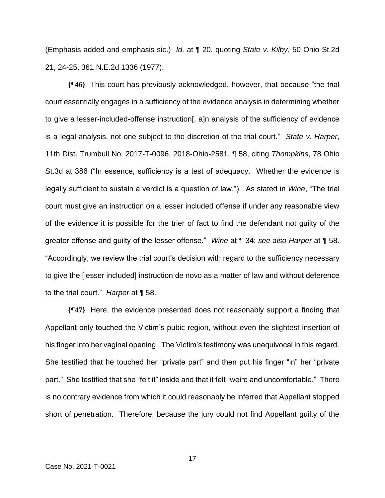(Emphasis added and emphasis sic.) *Id.* at ¶ 20, quoting *State v. Kilby*, 50 Ohio St.2d 21, 24-25, 361 N.E.2d 1336 (1977).

**{¶46}** This court has previously acknowledged, however, that because "the trial court essentially engages in a sufficiency of the evidence analysis in determining whether to give a lesser-included-offense instruction[, a]n analysis of the sufficiency of evidence is a legal analysis, not one subject to the discretion of the trial court." *State v. Harper*, 11th Dist. Trumbull No. 2017-T-0096, 2018-Ohio-2581, ¶ 58, citing *Thompkins*, 78 Ohio St.3d at 386 ("In essence, sufficiency is a test of adequacy. Whether the evidence is legally sufficient to sustain a verdict is a question of law."). As stated in *Wine*, "The trial court must give an instruction on a lesser included offense if under any reasonable view of the evidence it is possible for the trier of fact to find the defendant not guilty of the greater offense and guilty of the lesser offense." *Wine* at ¶ 34; *see also Harper* at ¶ 58. "Accordingly, we review the trial court's decision with regard to the sufficiency necessary to give the [lesser included] instruction de novo as a matter of law and without deference to the trial court." *Harper* at ¶ 58.

**{¶47}** Here, the evidence presented does not reasonably support a finding that Appellant only touched the Victim's pubic region, without even the slightest insertion of his finger into her vaginal opening. The Victim's testimony was unequivocal in this regard. She testified that he touched her "private part" and then put his finger "in" her "private part." She testified that she "felt it" inside and that it felt "weird and uncomfortable." There is no contrary evidence from which it could reasonably be inferred that Appellant stopped short of penetration. Therefore, because the jury could not find Appellant guilty of the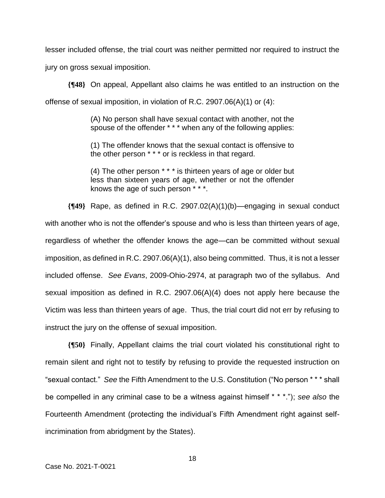lesser included offense, the trial court was neither permitted nor required to instruct the jury on gross sexual imposition.

**{¶48}** On appeal, Appellant also claims he was entitled to an instruction on the offense of sexual imposition, in violation of R.C. 2907.06(A)(1) or (4):

> (A) No person shall have sexual contact with another, not the spouse of the offender \* \* \* when any of the following applies:

> (1) The offender knows that the sexual contact is offensive to the other person \* \* \* or is reckless in that regard.

> (4) The other person \* \* \* is thirteen years of age or older but less than sixteen years of age, whether or not the offender knows the age of such person \* \* \*.

**{¶49}** Rape, as defined in R.C. 2907.02(A)(1)(b)—engaging in sexual conduct with another who is not the offender's spouse and who is less than thirteen years of age, regardless of whether the offender knows the age—can be committed without sexual imposition, as defined in R.C. 2907.06(A)(1), also being committed. Thus, it is not a lesser included offense. *See Evans*, 2009-Ohio-2974, at paragraph two of the syllabus. And sexual imposition as defined in R.C. 2907.06(A)(4) does not apply here because the Victim was less than thirteen years of age. Thus, the trial court did not err by refusing to instruct the jury on the offense of sexual imposition.

**{¶50}** Finally, Appellant claims the trial court violated his constitutional right to remain silent and right not to testify by refusing to provide the requested instruction on "sexual contact." *See* the Fifth Amendment to the U.S. Constitution ("No person \* \* \* shall be compelled in any criminal case to be a witness against himself \* \* \*."); *see also* the Fourteenth Amendment (protecting the individual's Fifth Amendment right against selfincrimination from abridgment by the States).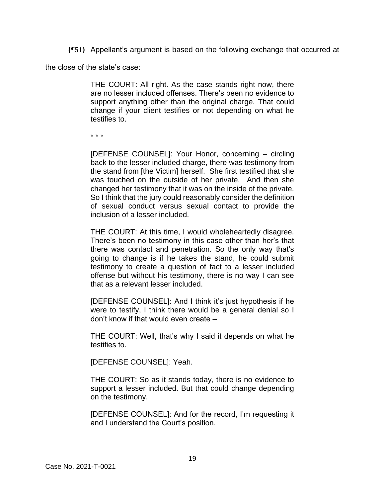**{¶51}** Appellant's argument is based on the following exchange that occurred at

the close of the state's case:

THE COURT: All right. As the case stands right now, there are no lesser included offenses. There's been no evidence to support anything other than the original charge. That could change if your client testifies or not depending on what he testifies to.

\* \* \*

[DEFENSE COUNSEL]: Your Honor, concerning – circling back to the lesser included charge, there was testimony from the stand from [the Victim] herself. She first testified that she was touched on the outside of her private. And then she changed her testimony that it was on the inside of the private. So I think that the jury could reasonably consider the definition of sexual conduct versus sexual contact to provide the inclusion of a lesser included.

THE COURT: At this time, I would wholeheartedly disagree. There's been no testimony in this case other than her's that there was contact and penetration. So the only way that's going to change is if he takes the stand, he could submit testimony to create a question of fact to a lesser included offense but without his testimony, there is no way I can see that as a relevant lesser included.

[DEFENSE COUNSEL]: And I think it's just hypothesis if he were to testify, I think there would be a general denial so I don't know if that would even create –

THE COURT: Well, that's why I said it depends on what he testifies to.

[DEFENSE COUNSEL]: Yeah.

THE COURT: So as it stands today, there is no evidence to support a lesser included. But that could change depending on the testimony.

[DEFENSE COUNSEL]: And for the record, I'm requesting it and I understand the Court's position.